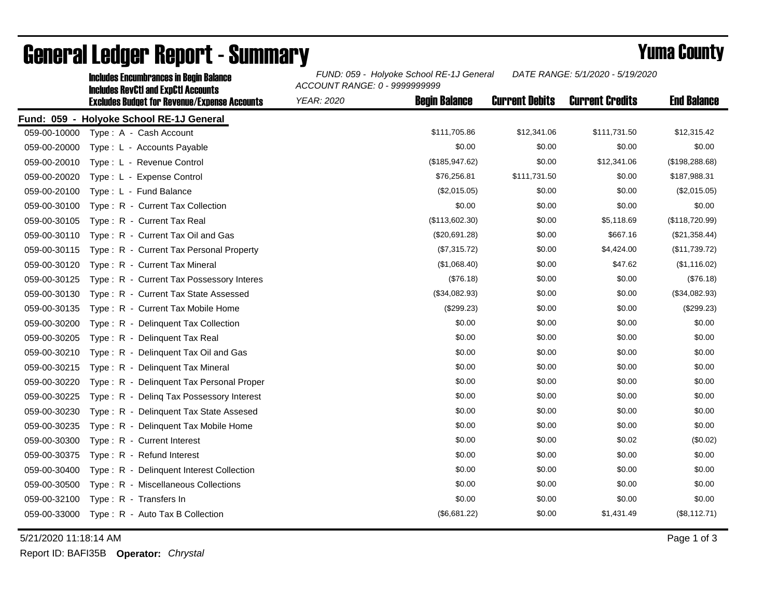|              | <b>Includes Encumbrances in Begin Balance</b>                                                     | FUND: 059 - Holyoke School RE-1J General<br>DATE RANGE: 5/1/2020 - 5/19/2020<br>ACCOUNT RANGE: 0 - 9999999999 |                       |                        |                    |
|--------------|---------------------------------------------------------------------------------------------------|---------------------------------------------------------------------------------------------------------------|-----------------------|------------------------|--------------------|
|              | <b>Includes RevCtI and ExpCtI Accounts</b><br><b>Excludes Budget for Revenue/Expense Accounts</b> | <b>Begin Balance</b><br><b>YEAR: 2020</b>                                                                     | <b>Current Debits</b> | <b>Current Credits</b> | <b>End Balance</b> |
|              | Fund: 059 - Holyoke School RE-1J General                                                          |                                                                                                               |                       |                        |                    |
| 059-00-10000 | Type: A - Cash Account                                                                            | \$111,705.86                                                                                                  | \$12,341.06           | \$111,731.50           | \$12,315.42        |
| 059-00-20000 | Type: L - Accounts Payable                                                                        | \$0.00                                                                                                        | \$0.00                | \$0.00                 | \$0.00             |
| 059-00-20010 | Type: L - Revenue Control                                                                         | (\$185,947.62)                                                                                                | \$0.00                | \$12,341.06            | (\$198,288.68)     |
| 059-00-20020 | Type: L - Expense Control                                                                         | \$76,256.81                                                                                                   | \$111,731.50          | \$0.00                 | \$187,988.31       |
| 059-00-20100 | Type: L - Fund Balance                                                                            | (\$2,015.05)                                                                                                  | \$0.00                | \$0.00                 | (\$2,015.05)       |
| 059-00-30100 | Type: R - Current Tax Collection                                                                  | \$0.00                                                                                                        | \$0.00                | \$0.00                 | \$0.00             |
| 059-00-30105 | Type: R - Current Tax Real                                                                        | (\$113,602.30)                                                                                                | \$0.00                | \$5,118.69             | (\$118,720.99)     |
| 059-00-30110 | Type: R - Current Tax Oil and Gas                                                                 | (\$20,691.28)                                                                                                 | \$0.00                | \$667.16               | (\$21,358.44)      |
| 059-00-30115 | Type: R - Current Tax Personal Property                                                           | (\$7,315.72)                                                                                                  | \$0.00                | \$4,424.00             | (\$11,739.72)      |
| 059-00-30120 | Type: R - Current Tax Mineral                                                                     | (\$1,068.40)                                                                                                  | \$0.00                | \$47.62                | (\$1,116.02)       |
| 059-00-30125 | Type: R - Current Tax Possessory Interes                                                          | (\$76.18)                                                                                                     | \$0.00                | \$0.00                 | (\$76.18)          |
| 059-00-30130 | Type: R - Current Tax State Assessed                                                              | (\$34,082.93)                                                                                                 | \$0.00                | \$0.00                 | (\$34,082.93)      |
| 059-00-30135 | Type: R - Current Tax Mobile Home                                                                 | (\$299.23)                                                                                                    | \$0.00                | \$0.00                 | (\$299.23)         |
| 059-00-30200 | Type: R - Delinquent Tax Collection                                                               | \$0.00                                                                                                        | \$0.00                | \$0.00                 | \$0.00             |
| 059-00-30205 | Type: R - Delinquent Tax Real                                                                     | \$0.00                                                                                                        | \$0.00                | \$0.00                 | \$0.00             |
| 059-00-30210 | Type: R - Delinquent Tax Oil and Gas                                                              | \$0.00                                                                                                        | \$0.00                | \$0.00                 | \$0.00             |
| 059-00-30215 | Type: R - Delinquent Tax Mineral                                                                  | \$0.00                                                                                                        | \$0.00                | \$0.00                 | \$0.00             |
| 059-00-30220 | Type: R - Delinquent Tax Personal Proper                                                          | \$0.00                                                                                                        | \$0.00                | \$0.00                 | \$0.00             |
| 059-00-30225 | Type: R - Deling Tax Possessory Interest                                                          | \$0.00                                                                                                        | \$0.00                | \$0.00                 | \$0.00             |
| 059-00-30230 | Type: R - Delinquent Tax State Assesed                                                            | \$0.00                                                                                                        | \$0.00                | \$0.00                 | \$0.00             |
| 059-00-30235 | Type: R - Delinquent Tax Mobile Home                                                              | \$0.00                                                                                                        | \$0.00                | \$0.00                 | \$0.00             |
| 059-00-30300 | Type: R - Current Interest                                                                        | \$0.00                                                                                                        | \$0.00                | \$0.02                 | (\$0.02)           |
| 059-00-30375 | Type: R - Refund Interest                                                                         | \$0.00                                                                                                        | \$0.00                | \$0.00                 | \$0.00             |
| 059-00-30400 | Type: R - Delinquent Interest Collection                                                          | \$0.00                                                                                                        | \$0.00                | \$0.00                 | \$0.00             |
| 059-00-30500 | Type: R - Miscellaneous Collections                                                               | \$0.00                                                                                                        | \$0.00                | \$0.00                 | \$0.00             |
| 059-00-32100 | Type: R - Transfers In                                                                            | \$0.00                                                                                                        | \$0.00                | \$0.00                 | \$0.00             |
| 059-00-33000 | Type: R - Auto Tax B Collection                                                                   | (\$6,681.22)                                                                                                  | \$0.00                | \$1,431.49             | (\$8,112.71)       |

## General Ledger Report - Summary **Example 2018** Yuma County

5/21/2020 11:18:14 AM Page 1 of 3

Report ID: BAFI35B **Operator:** *Chrystal*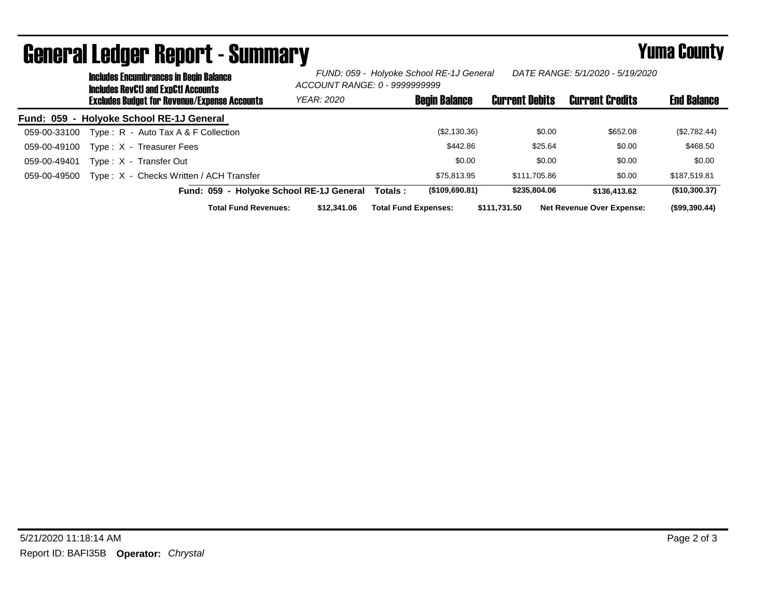|              | <b>Includes Encumbrances in Begin Balance</b><br><b>Includes RevCtI and ExpCtI Accounts</b> |                                                     |                                          | FUND: 059 - Holyoke School RE-1J General<br>DATE RANGE: 5/1/2020 - 5/19/2020<br>ACCOUNT RANGE: 0 - 9999999999 |                             |                      |                       |                                  |                    |
|--------------|---------------------------------------------------------------------------------------------|-----------------------------------------------------|------------------------------------------|---------------------------------------------------------------------------------------------------------------|-----------------------------|----------------------|-----------------------|----------------------------------|--------------------|
|              |                                                                                             | <b>Excludes Budget for Revenue/Expense Accounts</b> |                                          | <b>YEAR: 2020</b>                                                                                             |                             | <b>Begin Balance</b> | <b>Current Debits</b> | <b>Current Credits</b>           | <b>End Balance</b> |
|              |                                                                                             | Fund: 059 - Holyoke School RE-1J General            |                                          |                                                                                                               |                             |                      |                       |                                  |                    |
| 059-00-33100 |                                                                                             | Type: R - Auto Tax A & F Collection                 |                                          |                                                                                                               |                             | (\$2,130.36)         | \$0.00                | \$652.08                         | (\$2,782.44)       |
| 059-00-49100 |                                                                                             | Type: X - Treasurer Fees                            |                                          |                                                                                                               |                             | \$442.86             | \$25.64               | \$0.00                           | \$468.50           |
| 059-00-49401 |                                                                                             | Type: X - Transfer Out                              |                                          |                                                                                                               |                             | \$0.00               | \$0.00                | \$0.00                           | \$0.00             |
| 059-00-49500 |                                                                                             | Type: X - Checks Written / ACH Transfer             |                                          |                                                                                                               |                             | \$75,813.95          | \$111.705.86          | \$0.00                           | \$187,519.81       |
|              |                                                                                             |                                                     | Fund: 059 - Holyoke School RE-1J General |                                                                                                               | Totals :                    | (\$109,690.81)       | \$235,804,06          | \$136,413.62                     | (\$10,300.37)      |
|              |                                                                                             |                                                     | <b>Total Fund Revenues:</b>              | \$12,341.06                                                                                                   | <b>Total Fund Expenses:</b> |                      | \$111,731.50          | <b>Net Revenue Over Expense:</b> | (\$99,390.44)      |

## General Ledger Report - Summary **Seneral Ledger Report - Summary**